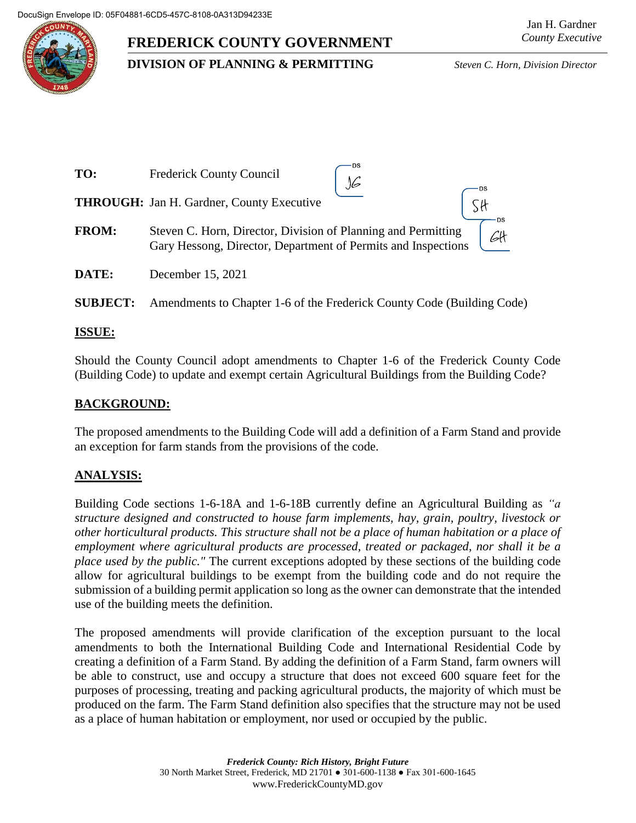# **FREDERICK COUNTY GOVERNMENT**

# **DIVISION OF PLANNING & PERMITTING** *Steven C. Horn, Division Director*

| TO:             | Frederick County Council                                                                                                       |  |    |
|-----------------|--------------------------------------------------------------------------------------------------------------------------------|--|----|
|                 | <b>THROUGH:</b> Jan H. Gardner, County Executive                                                                               |  |    |
| <b>FROM:</b>    | Steven C. Horn, Director, Division of Planning and Permitting<br>Gary Hessong, Director, Department of Permits and Inspections |  | 64 |
| DATE:           | December 15, 2021                                                                                                              |  |    |
| <b>SUBJECT:</b> | Amendments to Chapter 1-6 of the Frederick County Code (Building Code)                                                         |  |    |

# **ISSUE:**

Should the County Council adopt amendments to Chapter 1-6 of the Frederick County Code (Building Code) to update and exempt certain Agricultural Buildings from the Building Code?

# **BACKGROUND:**

The proposed amendments to the Building Code will add a definition of a Farm Stand and provide an exception for farm stands from the provisions of the code.

# **ANALYSIS:**

Building Code sections 1-6-18A and 1-6-18B currently define an Agricultural Building as *"a structure designed and constructed to house farm implements, hay, grain, poultry, livestock or other horticultural products. This structure shall not be a place of human habitation or a place of employment where agricultural products are processed, treated or packaged, nor shall it be a place used by the public."* The current exceptions adopted by these sections of the building code allow for agricultural buildings to be exempt from the building code and do not require the submission of a building permit application so long as the owner can demonstrate that the intended use of the building meets the definition.

The proposed amendments will provide clarification of the exception pursuant to the local amendments to both the International Building Code and International Residential Code by creating a definition of a Farm Stand. By adding the definition of a Farm Stand, farm owners will be able to construct, use and occupy a structure that does not exceed 600 square feet for the purposes of processing, treating and packing agricultural products, the majority of which must be produced on the farm. The Farm Stand definition also specifies that the structure may not be used as a place of human habitation or employment, nor used or occupied by the public.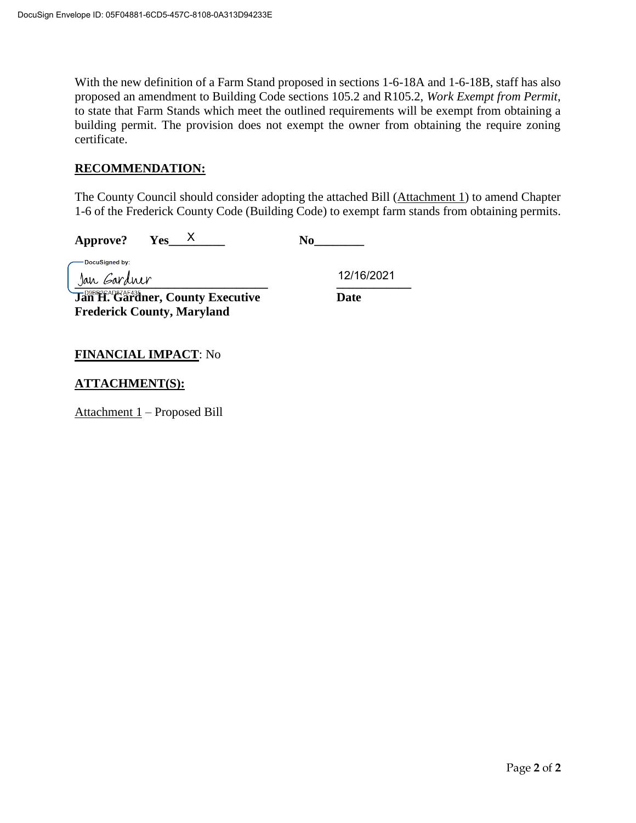With the new definition of a Farm Stand proposed in sections 1-6-18A and 1-6-18B, staff has also proposed an amendment to Building Code sections 105.2 and R105.2, *Work Exempt from Permit*, to state that Farm Stands which meet the outlined requirements will be exempt from obtaining a building permit. The provision does not exempt the owner from obtaining the require zoning certificate.

# **RECOMMENDATION:**

The County Council should consider adopting the attached Bill (Attachment 1) to amend Chapter 1-6 of the Frederick County Code (Building Code) to exempt farm stands from obtaining permits.

**Approve? Yes\_\_\_\_\_\_\_\_\_ No\_\_\_\_\_\_\_\_** X

-DocuSianed by:

**\_\_\_\_\_\_\_\_\_\_\_\_\_\_\_\_\_\_\_\_\_\_\_\_\_\_\_\_\_\_\_ \_\_\_\_\_\_\_\_\_\_\_\_**

12/16/2021

**Jan H. Gardner, County Executive Date Frederick County, Maryland**

# **FINANCIAL IMPACT**: No

# **ATTACHMENT(S):**

Attachment 1 – Proposed Bill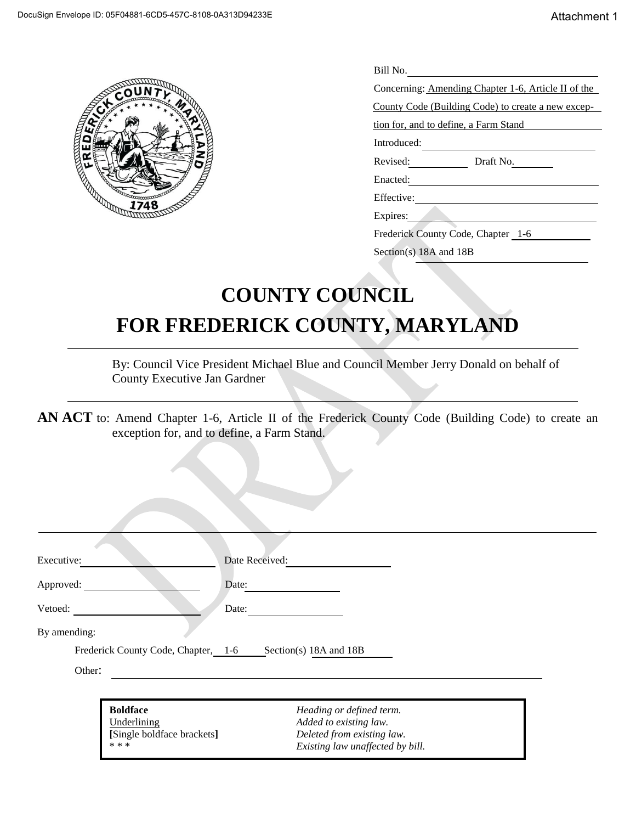

| Bill No.                                            |
|-----------------------------------------------------|
| Concerning: Amending Chapter 1-6, Article II of the |
| County Code (Building Code) to create a new excep-  |
| tion for, and to define, a Farm Stand               |
| Introduced:                                         |
| Revised:<br>Draft No.                               |
| Enacted:                                            |
| Effective:                                          |
| Expires:                                            |
| Frederick County Code, Chapter 1-6                  |
| Section(s) 18A and 18B                              |

# **COUNTY COUNCIL FOR FREDERICK COUNTY, MARYLAND**

By: Council Vice President Michael Blue and Council Member Jerry Donald on behalf of County Executive Jan Gardner

**AN ACT** to: Amend Chapter 1-6, Article II of the Frederick County Code (Building Code) to create an exception for, and to define, a Farm Stand.

| Executive:                                                            | Date Received:                                                                                                       |
|-----------------------------------------------------------------------|----------------------------------------------------------------------------------------------------------------------|
| Approved:                                                             | Date:                                                                                                                |
| Vetoed:                                                               | Date:                                                                                                                |
| By amending:<br>Frederick County Code, Chapter, 1-6<br>Other:         | Section(s) 18A and 18B                                                                                               |
| <b>Boldface</b><br>Underlining<br>[Single boldface brackets]<br>* * * | Heading or defined term.<br>Added to existing law.<br>Deleted from existing law.<br>Existing law unaffected by bill. |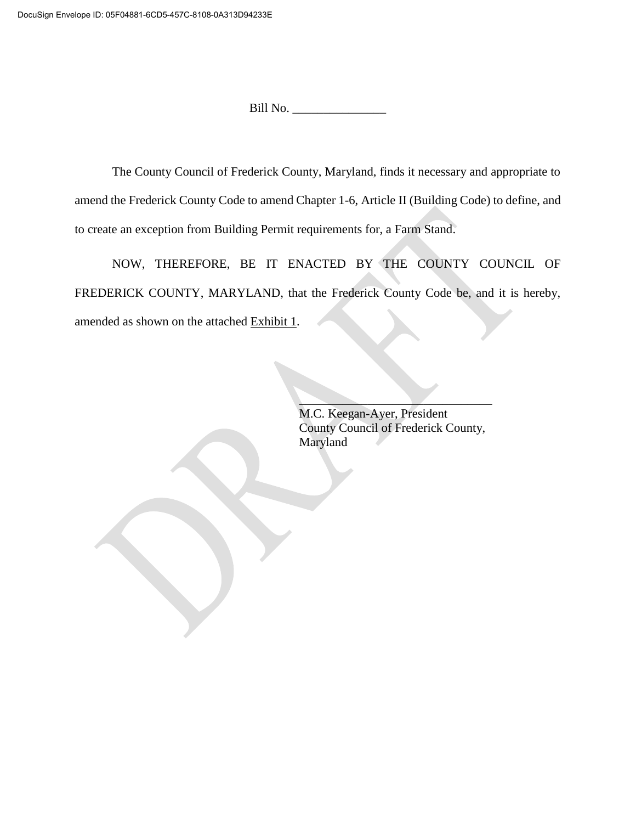Bill No. \_\_\_\_\_\_\_\_\_\_\_\_\_\_\_

The County Council of Frederick County, Maryland, finds it necessary and appropriate to amend the Frederick County Code to amend Chapter 1-6, Article II (Building Code) to define, and to create an exception from Building Permit requirements for, a Farm Stand.

NOW, THEREFORE, BE IT ENACTED BY THE COUNTY COUNCIL OF FREDERICK COUNTY, MARYLAND, that the Frederick County Code be, and it is hereby, amended as shown on the attached Exhibit 1.

> $\mathcal{L}=\mathcal{L}=\mathcal{L}=\mathcal{L}=\mathcal{L}=\mathcal{L}=\mathcal{L}=\mathcal{L}=\mathcal{L}=\mathcal{L}=\mathcal{L}=\mathcal{L}=\mathcal{L}=\mathcal{L}=\mathcal{L}=\mathcal{L}=\mathcal{L}=\mathcal{L}=\mathcal{L}=\mathcal{L}=\mathcal{L}=\mathcal{L}=\mathcal{L}=\mathcal{L}=\mathcal{L}=\mathcal{L}=\mathcal{L}=\mathcal{L}=\mathcal{L}=\mathcal{L}=\mathcal{L}=\mathcal{L}=\mathcal{L}=\mathcal{L}=\mathcal{L}=\mathcal{L}=\mathcal{$ M.C. Keegan-Ayer, President County Council of Frederick County, Maryland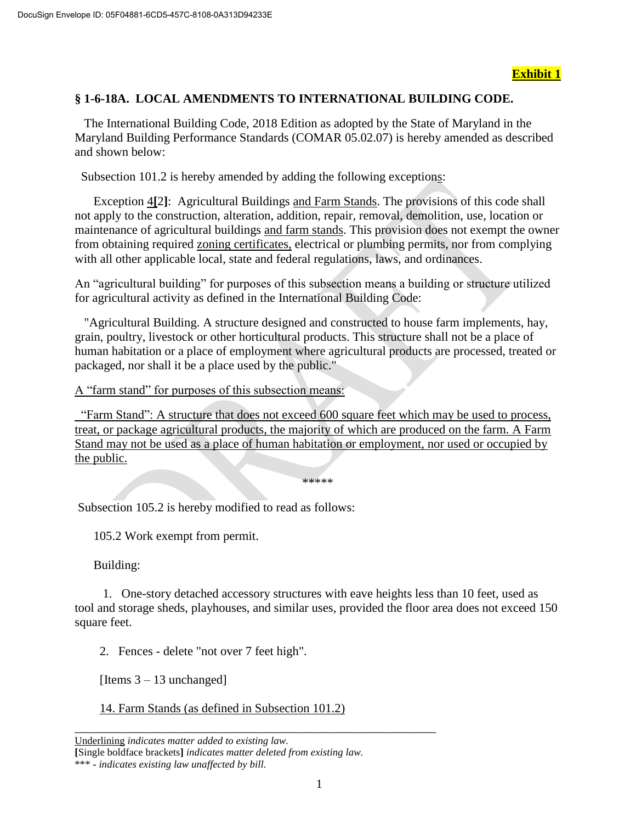# **Exhibit 1**

# **§ 1-6-18A. LOCAL AMENDMENTS TO INTERNATIONAL BUILDING CODE.**

 The International Building Code, 2018 Edition as adopted by the State of Maryland in the Maryland Building Performance Standards (COMAR 05.02.07) is hereby amended as described and shown below:

Subsection 101.2 is hereby amended by adding the following exceptions:

 Exception 4**[**2**]**: Agricultural Buildings and Farm Stands. The provisions of this code shall not apply to the construction, alteration, addition, repair, removal, demolition, use, location or maintenance of agricultural buildings and farm stands. This provision does not exempt the owner from obtaining required zoning certificates, electrical or plumbing permits, nor from complying with all other applicable local, state and federal regulations, laws, and ordinances.

An "agricultural building" for purposes of this subsection means a building or structure utilized for agricultural activity as defined in the International Building Code:

 "Agricultural Building. A structure designed and constructed to house farm implements, hay, grain, poultry, livestock or other horticultural products. This structure shall not be a place of human habitation or a place of employment where agricultural products are processed, treated or packaged, nor shall it be a place used by the public."

A "farm stand" for purposes of this subsection means:

 "Farm Stand": A structure that does not exceed 600 square feet which may be used to process, treat, or package agricultural products, the majority of which are produced on the farm. A Farm Stand may not be used as a place of human habitation or employment, nor used or occupied by the public.

\*\*\*\*\*

Subsection 105.2 is hereby modified to read as follows:

105.2 Work exempt from permit.

Building:

 1. One-story detached accessory structures with eave heights less than 10 feet, used as tool and storage sheds, playhouses, and similar uses, provided the floor area does not exceed 150 square feet.

2. Fences - delete "not over 7 feet high".

[Items  $3 - 13$  unchanged]

14. Farm Stands (as defined in Subsection 101.2)

\_\_\_\_\_\_\_\_\_\_\_\_\_\_\_\_\_\_\_\_\_\_\_\_\_\_\_\_\_\_\_\_\_\_\_\_\_\_\_\_\_\_\_\_\_\_\_\_\_\_\_\_\_\_\_\_\_\_

**[**Single boldface brackets**]** *indicates matter deleted from existing law.* \*\*\* **-** *indicates existing law unaffected by bill.*

Underlining *indicates matter added to existing law.*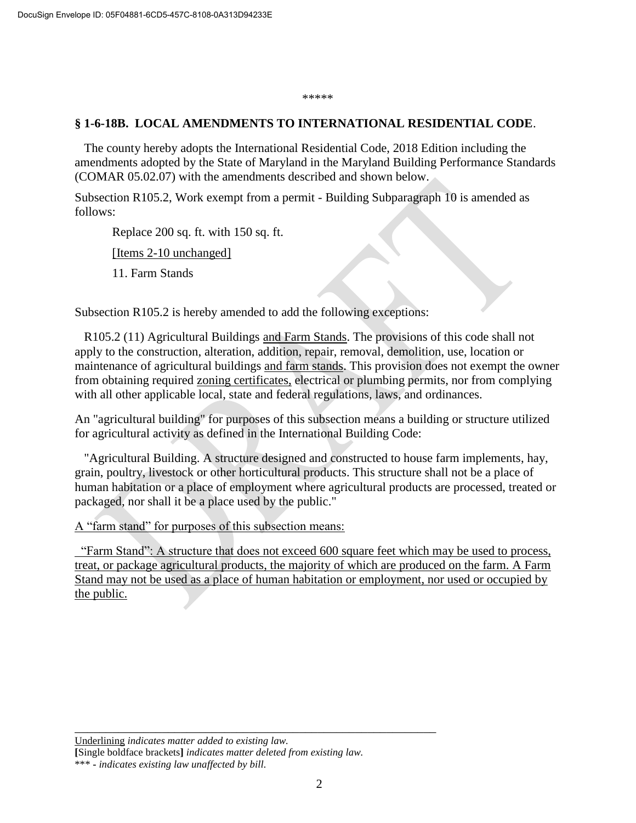\*\*\*\*\*

# **§ 1-6-18B. LOCAL AMENDMENTS TO INTERNATIONAL RESIDENTIAL CODE**.

 The county hereby adopts the International Residential Code, 2018 Edition including the amendments adopted by the State of Maryland in the Maryland Building Performance Standards (COMAR 05.02.07) with the amendments described and shown below.

Subsection R105.2, Work exempt from a permit - Building Subparagraph 10 is amended as follows:

Replace 200 sq. ft. with 150 sq. ft.

[Items 2-10 unchanged]

11. Farm Stands

Subsection R105.2 is hereby amended to add the following exceptions:

 R105.2 (11) Agricultural Buildings and Farm Stands. The provisions of this code shall not apply to the construction, alteration, addition, repair, removal, demolition, use, location or maintenance of agricultural buildings and farm stands. This provision does not exempt the owner from obtaining required zoning certificates, electrical or plumbing permits, nor from complying with all other applicable local, state and federal regulations, laws, and ordinances.

An "agricultural building" for purposes of this subsection means a building or structure utilized for agricultural activity as defined in the International Building Code:

 "Agricultural Building. A structure designed and constructed to house farm implements, hay, grain, poultry, livestock or other horticultural products. This structure shall not be a place of human habitation or a place of employment where agricultural products are processed, treated or packaged, nor shall it be a place used by the public."

A "farm stand" for purposes of this subsection means:

 "Farm Stand": A structure that does not exceed 600 square feet which may be used to process, treat, or package agricultural products, the majority of which are produced on the farm. A Farm Stand may not be used as a place of human habitation or employment, nor used or occupied by the public.

Underlining *indicates matter added to existing law.* **[**Single boldface brackets**]** *indicates matter deleted from existing law.* \*\*\* **-** *indicates existing law unaffected by bill.*

\_\_\_\_\_\_\_\_\_\_\_\_\_\_\_\_\_\_\_\_\_\_\_\_\_\_\_\_\_\_\_\_\_\_\_\_\_\_\_\_\_\_\_\_\_\_\_\_\_\_\_\_\_\_\_\_\_\_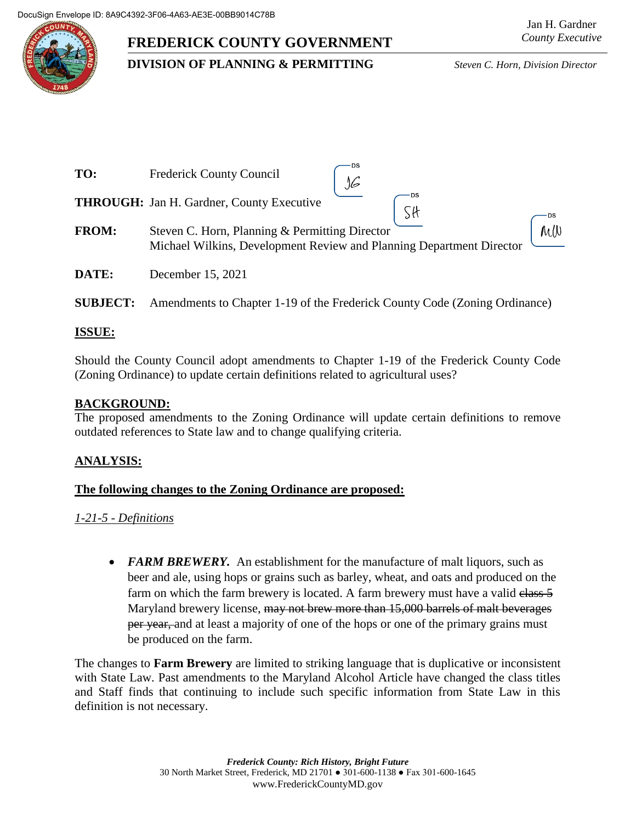

# **FREDERICK COUNTY GOVERNMENT**

# **DIVISION OF PLANNING & PERMITTING** *Steven C. Horn, Division Director*

| TO:             | Frederick County Council                                                                                               |  |
|-----------------|------------------------------------------------------------------------------------------------------------------------|--|
|                 | <b>THROUGH:</b> Jan H. Gardner, County Executive                                                                       |  |
| <b>FROM:</b>    | Steven C. Horn, Planning & Permitting Director<br>Michael Wilkins, Development Review and Planning Department Director |  |
| DATE:           | December 15, 2021                                                                                                      |  |
| <b>SUBJECT:</b> | Amendments to Chapter 1-19 of the Frederick County Code (Zoning Ordinance)                                             |  |
| <b>ISSUE:</b>   |                                                                                                                        |  |

Should the County Council adopt amendments to Chapter 1-19 of the Frederick County Code (Zoning Ordinance) to update certain definitions related to agricultural uses?

# **BACKGROUND:**

The proposed amendments to the Zoning Ordinance will update certain definitions to remove outdated references to State law and to change qualifying criteria.

# **ANALYSIS:**

# **The following changes to the Zoning Ordinance are proposed:**

*1-21-5 - Definitions*

• **FARM BREWERY.** An establishment for the manufacture of malt liquors, such as beer and ale, using hops or grains such as barley, wheat, and oats and produced on the farm on which the farm brewery is located. A farm brewery must have a valid class 5 Maryland brewery license, may not brew more than 15,000 barrels of malt beverages per year, and at least a majority of one of the hops or one of the primary grains must be produced on the farm.

The changes to **Farm Brewery** are limited to striking language that is duplicative or inconsistent with State Law. Past amendments to the Maryland Alcohol Article have changed the class titles and Staff finds that continuing to include such specific information from State Law in this definition is not necessary.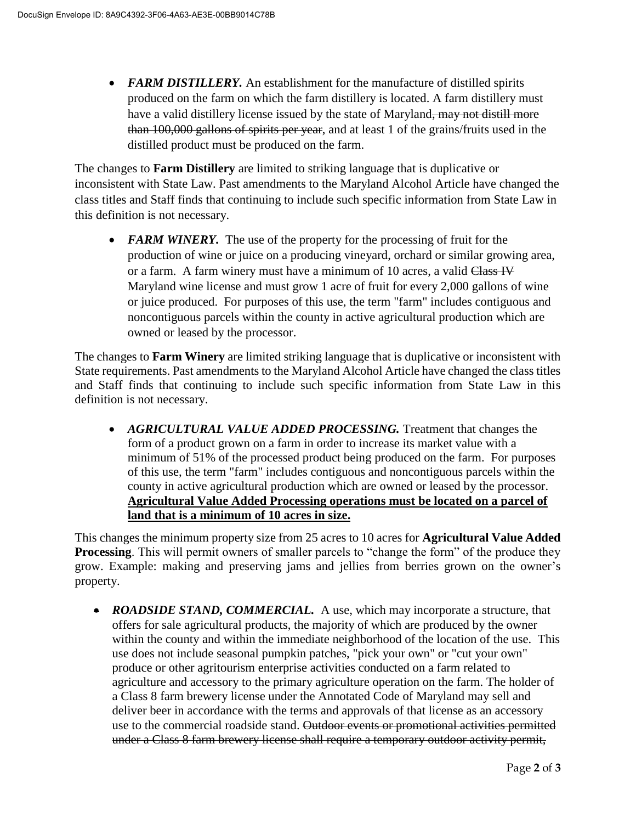• FARM DISTILLERY. An establishment for the manufacture of distilled spirits produced on the farm on which the farm distillery is located. A farm distillery must have a valid distillery license issued by the state of Maryland, may not distill more than 100,000 gallons of spirits per year, and at least 1 of the grains/fruits used in the distilled product must be produced on the farm.

The changes to **Farm Distillery** are limited to striking language that is duplicative or inconsistent with State Law. Past amendments to the Maryland Alcohol Article have changed the class titles and Staff finds that continuing to include such specific information from State Law in this definition is not necessary.

• *FARM WINERY*. The use of the property for the processing of fruit for the production of wine or juice on a producing vineyard, orchard or similar growing area, or a farm. A farm winery must have a minimum of 10 acres, a valid Class IV Maryland wine license and must grow 1 acre of fruit for every 2,000 gallons of wine or juice produced. For purposes of this use, the term "farm" includes contiguous and noncontiguous parcels within the county in active agricultural production which are owned or leased by the processor.

The changes to **Farm Winery** are limited striking language that is duplicative or inconsistent with State requirements. Past amendments to the Maryland Alcohol Article have changed the class titles and Staff finds that continuing to include such specific information from State Law in this definition is not necessary.

 *AGRICULTURAL VALUE ADDED PROCESSING.* Treatment that changes the form of a product grown on a farm in order to increase its market value with a minimum of 51% of the processed product being produced on the farm. For purposes of this use, the term "farm" includes contiguous and noncontiguous parcels within the county in active agricultural production which are owned or leased by the processor. **Agricultural Value Added Processing operations must be located on a parcel of land that is a minimum of 10 acres in size.**

This changes the minimum property size from 25 acres to 10 acres for **Agricultural Value Added Processing**. This will permit owners of smaller parcels to "change the form" of the produce they grow. Example: making and preserving jams and jellies from berries grown on the owner's property.

• **ROADSIDE STAND, COMMERCIAL.** A use, which may incorporate a structure, that offers for sale agricultural products, the majority of which are produced by the owner within the county and within the immediate neighborhood of the location of the use. This use does not include seasonal pumpkin patches, "pick your own" or "cut your own" produce or other agritourism enterprise activities conducted on a farm related to agriculture and accessory to the primary agriculture operation on the farm. The holder of a Class 8 farm brewery license under the Annotated Code of Maryland may sell and deliver beer in accordance with the terms and approvals of that license as an accessory use to the commercial roadside stand. Outdoor events or promotional activities permitted under a Class 8 farm brewery license shall require a temporary outdoor activity permit,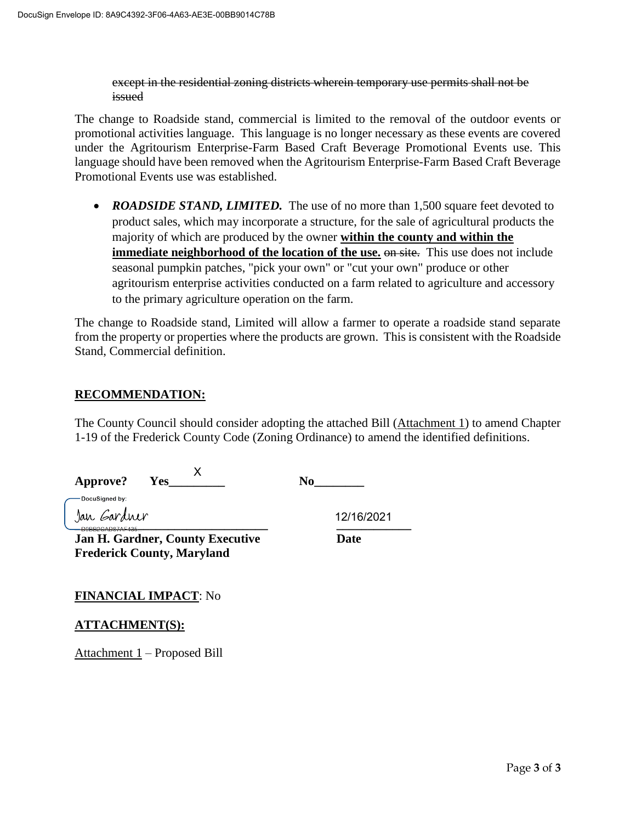#### except in the residential zoning districts wherein temporary use permits shall not be issued

The change to Roadside stand, commercial is limited to the removal of the outdoor events or promotional activities language. This language is no longer necessary as these events are covered under the Agritourism Enterprise-Farm Based Craft Beverage Promotional Events use. This language should have been removed when the Agritourism Enterprise-Farm Based Craft Beverage Promotional Events use was established.

• **ROADSIDE STAND, LIMITED.** The use of no more than 1,500 square feet devoted to product sales, which may incorporate a structure, for the sale of agricultural products the majority of which are produced by the owner **within the county and within the immediate neighborhood of the location of the use.**  $\Theta$  and site. This use does not include seasonal pumpkin patches, "pick your own" or "cut your own" produce or other agritourism enterprise activities conducted on a farm related to agriculture and accessory to the primary agriculture operation on the farm.

The change to Roadside stand, Limited will allow a farmer to operate a roadside stand separate from the property or properties where the products are grown. This is consistent with the Roadside Stand, Commercial definition.

# **RECOMMENDATION:**

The County Council should consider adopting the attached Bill (Attachment 1) to amend Chapter 1-19 of the Frederick County Code (Zoning Ordinance) to amend the identified definitions.

| Approve?<br><b>Yes</b>                                      | No         |
|-------------------------------------------------------------|------------|
| ├─ DocuSigned by:                                           |            |
| Jan Gardner                                                 | 12/16/2021 |
| -D9BB2CAD87AF435<br><b>Jan H. Gardner, County Executive</b> | Date       |
| <b>Frederick County, Maryland</b>                           |            |

 $\ddot{\phantom{a}}$ 

# **FINANCIAL IMPACT**: No

**ATTACHMENT(S):**

Attachment 1 – Proposed Bill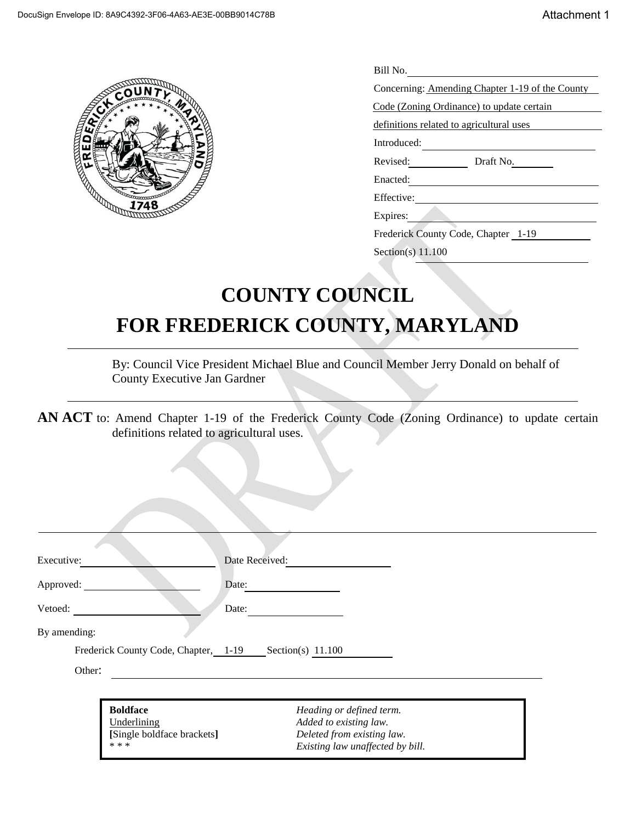

| Bill No.                                  |                                                 |
|-------------------------------------------|-------------------------------------------------|
|                                           | Concerning: Amending Chapter 1-19 of the County |
| Code (Zoning Ordinance) to update certain |                                                 |
| definitions related to agricultural uses  |                                                 |
| Introduced:                               |                                                 |
| Revised:                                  | Draft No.                                       |
| Enacted:                                  |                                                 |
| Effective:                                |                                                 |
| Expires:                                  |                                                 |
| Frederick County Code, Chapter 1-19       |                                                 |
| Section(s) $11.100$                       |                                                 |

# **COUNTY COUNCIL FOR FREDERICK COUNTY, MARYLAND**

By: Council Vice President Michael Blue and Council Member Jerry Donald on behalf of County Executive Jan Gardner

**AN ACT** to: Amend Chapter 1-19 of the Frederick County Code (Zoning Ordinance) to update certain definitions related to agricultural uses.

| Executive:   |                                                                       | Date Received:                                                                                                       |
|--------------|-----------------------------------------------------------------------|----------------------------------------------------------------------------------------------------------------------|
| Approved:    |                                                                       | Date:                                                                                                                |
| Vetoed:      |                                                                       | Date:                                                                                                                |
| By amending: |                                                                       |                                                                                                                      |
|              | Frederick County Code, Chapter, 1-19                                  | Section(s) $11.100$                                                                                                  |
| Other:       |                                                                       |                                                                                                                      |
|              |                                                                       |                                                                                                                      |
|              | <b>Boldface</b><br>Underlining<br>[Single boldface brackets]<br>* * * | Heading or defined term.<br>Added to existing law.<br>Deleted from existing law.<br>Existing law unaffected by bill. |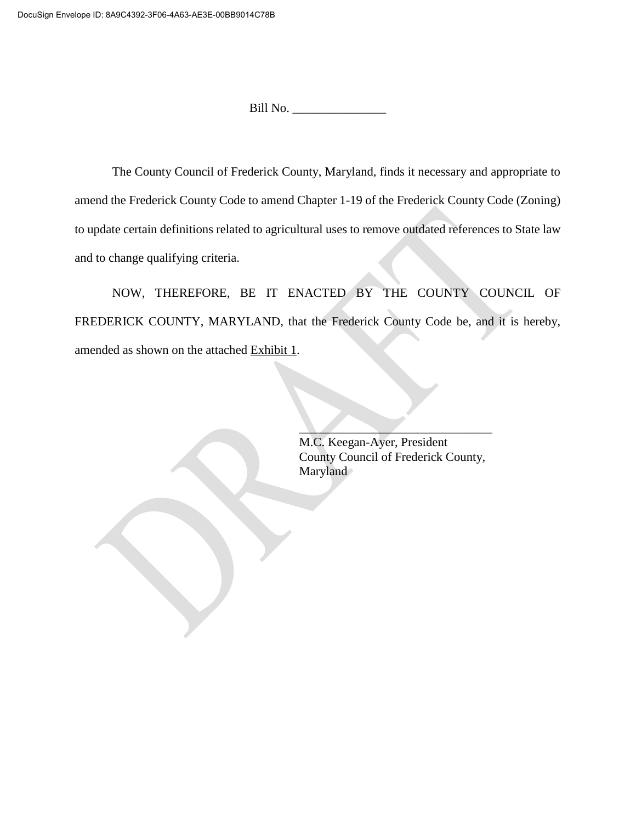Bill No. \_\_\_\_\_\_\_\_\_\_\_\_\_\_\_

The County Council of Frederick County, Maryland, finds it necessary and appropriate to amend the Frederick County Code to amend Chapter 1-19 of the Frederick County Code (Zoning) to update certain definitions related to agricultural uses to remove outdated references to State law and to change qualifying criteria.

NOW, THEREFORE, BE IT ENACTED BY THE COUNTY COUNCIL OF FREDERICK COUNTY, MARYLAND, that the Frederick County Code be, and it is hereby, amended as shown on the attached Exhibit 1.

> M.C. Keegan-Ayer, President County Council of Frederick County, Maryland

 $\Box$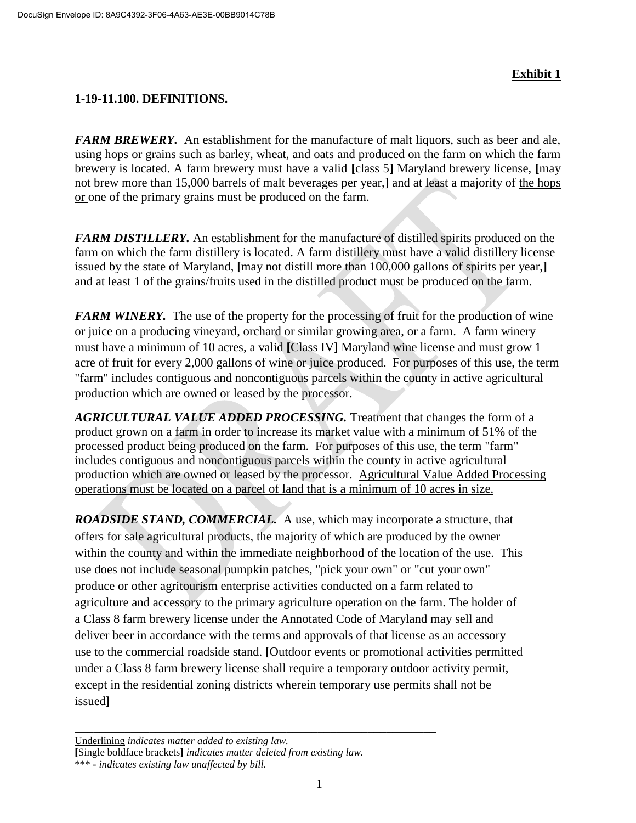# **Exhibit 1**

# **1-19-11.100. DEFINITIONS.**

*FARM BREWERY.* An establishment for the manufacture of malt liquors, such as beer and ale, using hops or grains such as barley, wheat, and oats and produced on the farm on which the farm brewery is located. A farm brewery must have a valid **[**class 5**]** Maryland brewery license, **[**may not brew more than 15,000 barrels of malt beverages per year,**]** and at least a majority of the hops or one of the primary grains must be produced on the farm.

*FARM DISTILLERY*. An establishment for the manufacture of distilled spirits produced on the farm on which the farm distillery is located. A farm distillery must have a valid distillery license issued by the state of Maryland, **[**may not distill more than 100,000 gallons of spirits per year,**]**  and at least 1 of the grains/fruits used in the distilled product must be produced on the farm.

*FARM WINERY.* The use of the property for the processing of fruit for the production of wine or juice on a producing vineyard, orchard or similar growing area, or a farm. A farm winery must have a minimum of 10 acres, a valid **[**Class IV**]** Maryland wine license and must grow 1 acre of fruit for every 2,000 gallons of wine or juice produced. For purposes of this use, the term "farm" includes contiguous and noncontiguous parcels within the county in active agricultural production which are owned or leased by the processor.

*AGRICULTURAL VALUE ADDED PROCESSING.* Treatment that changes the form of a product grown on a farm in order to increase its market value with a minimum of 51% of the processed product being produced on the farm. For purposes of this use, the term "farm" includes contiguous and noncontiguous parcels within the county in active agricultural production which are owned or leased by the processor. Agricultural Value Added Processing operations must be located on a parcel of land that is a minimum of 10 acres in size.

*ROADSIDE STAND, COMMERCIAL.* A use, which may incorporate a structure, that offers for sale agricultural products, the majority of which are produced by the owner within the county and within the immediate neighborhood of the location of the use. This use does not include seasonal pumpkin patches, "pick your own" or "cut your own" produce or other agritourism enterprise activities conducted on a farm related to agriculture and accessory to the primary agriculture operation on the farm. The holder of a Class 8 farm brewery license under the Annotated Code of Maryland may sell and deliver beer in accordance with the terms and approvals of that license as an accessory use to the commercial roadside stand. **[**Outdoor events or promotional activities permitted under a Class 8 farm brewery license shall require a temporary outdoor activity permit, except in the residential zoning districts wherein temporary use permits shall not be issued**]**

Underlining *indicates matter added to existing law.* **[**Single boldface brackets**]** *indicates matter deleted from existing law.* \*\*\* **-** *indicates existing law unaffected by bill.*

\_\_\_\_\_\_\_\_\_\_\_\_\_\_\_\_\_\_\_\_\_\_\_\_\_\_\_\_\_\_\_\_\_\_\_\_\_\_\_\_\_\_\_\_\_\_\_\_\_\_\_\_\_\_\_\_\_\_